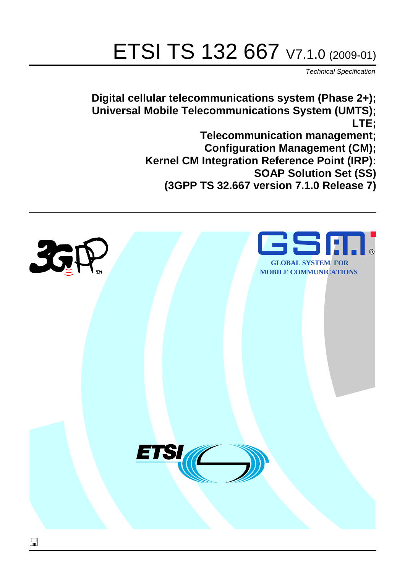# ETSI TS 132 667 V7.1.0 (2009-01)

*Technical Specification*

**Digital cellular telecommunications system (Phase 2+); Universal Mobile Telecommunications System (UMTS); LTE; Telecommunication management; Configuration Management (CM); Kernel CM Integration Reference Point (IRP): SOAP Solution Set (SS) (3GPP TS 32.667 version 7.1.0 Release 7)**

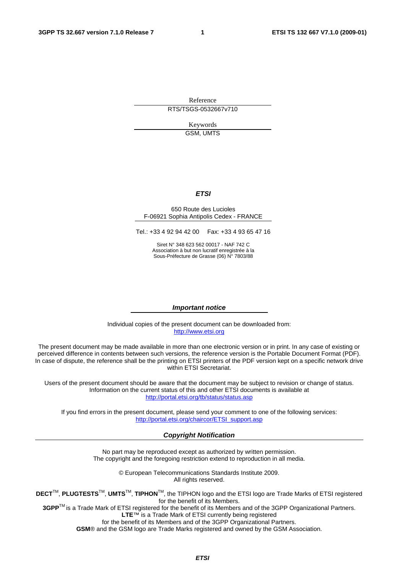Reference RTS/TSGS-0532667v710

> Keywords GSM, UMTS

#### *ETSI*

#### 650 Route des Lucioles F-06921 Sophia Antipolis Cedex - FRANCE

Tel.: +33 4 92 94 42 00 Fax: +33 4 93 65 47 16

Siret N° 348 623 562 00017 - NAF 742 C Association à but non lucratif enregistrée à la Sous-Préfecture de Grasse (06) N° 7803/88

#### *Important notice*

Individual copies of the present document can be downloaded from: [http://www.etsi.org](http://www.etsi.org/)

The present document may be made available in more than one electronic version or in print. In any case of existing or perceived difference in contents between such versions, the reference version is the Portable Document Format (PDF). In case of dispute, the reference shall be the printing on ETSI printers of the PDF version kept on a specific network drive within ETSI Secretariat.

Users of the present document should be aware that the document may be subject to revision or change of status. Information on the current status of this and other ETSI documents is available at <http://portal.etsi.org/tb/status/status.asp>

If you find errors in the present document, please send your comment to one of the following services: [http://portal.etsi.org/chaircor/ETSI\\_support.asp](http://portal.etsi.org/chaircor/ETSI_support.asp)

#### *Copyright Notification*

No part may be reproduced except as authorized by written permission. The copyright and the foregoing restriction extend to reproduction in all media.

> © European Telecommunications Standards Institute 2009. All rights reserved.

**DECT**TM, **PLUGTESTS**TM, **UMTS**TM, **TIPHON**TM, the TIPHON logo and the ETSI logo are Trade Marks of ETSI registered for the benefit of its Members.

**3GPP**TM is a Trade Mark of ETSI registered for the benefit of its Members and of the 3GPP Organizational Partners. **LTE**™ is a Trade Mark of ETSI currently being registered

for the benefit of its Members and of the 3GPP Organizational Partners.

**GSM**® and the GSM logo are Trade Marks registered and owned by the GSM Association.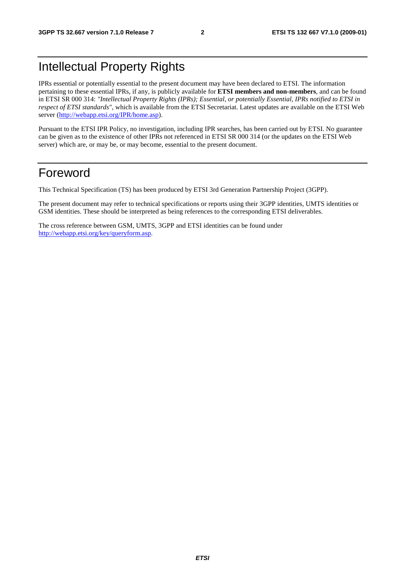# Intellectual Property Rights

IPRs essential or potentially essential to the present document may have been declared to ETSI. The information pertaining to these essential IPRs, if any, is publicly available for **ETSI members and non-members**, and can be found in ETSI SR 000 314: *"Intellectual Property Rights (IPRs); Essential, or potentially Essential, IPRs notified to ETSI in respect of ETSI standards"*, which is available from the ETSI Secretariat. Latest updates are available on the ETSI Web server [\(http://webapp.etsi.org/IPR/home.asp\)](http://webapp.etsi.org/IPR/home.asp).

Pursuant to the ETSI IPR Policy, no investigation, including IPR searches, has been carried out by ETSI. No guarantee can be given as to the existence of other IPRs not referenced in ETSI SR 000 314 (or the updates on the ETSI Web server) which are, or may be, or may become, essential to the present document.

### Foreword

This Technical Specification (TS) has been produced by ETSI 3rd Generation Partnership Project (3GPP).

The present document may refer to technical specifications or reports using their 3GPP identities, UMTS identities or GSM identities. These should be interpreted as being references to the corresponding ETSI deliverables.

The cross reference between GSM, UMTS, 3GPP and ETSI identities can be found under [http://webapp.etsi.org/key/queryform.asp.](http://webapp.etsi.org/key/queryform.asp)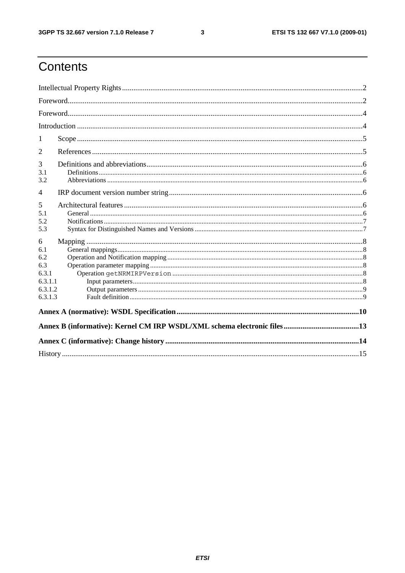$\mathbf{3}$ 

# Contents

| 1                                                                |  |
|------------------------------------------------------------------|--|
| 2                                                                |  |
| 3<br>3.1<br>3.2                                                  |  |
| 4                                                                |  |
| 5<br>5.1<br>5.2<br>5.3                                           |  |
| 6<br>6.1<br>6.2<br>6.3<br>6.3.1<br>6.3.1.1<br>6.3.1.2<br>6.3.1.3 |  |
|                                                                  |  |
|                                                                  |  |
|                                                                  |  |
|                                                                  |  |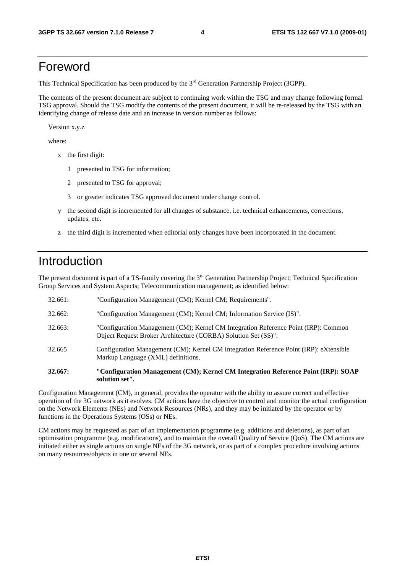### Foreword

This Technical Specification has been produced by the 3<sup>rd</sup> Generation Partnership Project (3GPP).

The contents of the present document are subject to continuing work within the TSG and may change following formal TSG approval. Should the TSG modify the contents of the present document, it will be re-released by the TSG with an identifying change of release date and an increase in version number as follows:

Version x.y.z

where:

- x the first digit:
	- 1 presented to TSG for information;
	- 2 presented to TSG for approval;
	- 3 or greater indicates TSG approved document under change control.
- y the second digit is incremented for all changes of substance, i.e. technical enhancements, corrections, updates, etc.
- z the third digit is incremented when editorial only changes have been incorporated in the document.

### Introduction

The present document is part of a TS-family covering the 3<sup>rd</sup> Generation Partnership Project; Technical Specification Group Services and System Aspects; Telecommunication management; as identified below:

| <b>32.667:</b> | "Configuration Management (CM); Kernel CM Integration Reference Point (IRP): SOAP<br>solution set".                                                   |
|----------------|-------------------------------------------------------------------------------------------------------------------------------------------------------|
| 32.665         | Configuration Management (CM); Kernel CM Integration Reference Point (IRP): eXtensible<br>Markup Language (XML) definitions.                          |
| 32.663:        | "Configuration Management (CM); Kernel CM Integration Reference Point (IRP): Common<br>Object Request Broker Architecture (CORBA) Solution Set (SS)". |
| 32.662:        | "Configuration Management (CM); Kernel CM; Information Service (IS)".                                                                                 |
| 32.661:        | "Configuration Management (CM); Kernel CM; Requirements".                                                                                             |

Configuration Management (CM), in general, provides the operator with the ability to assure correct and effective operation of the 3G network as it evolves. CM actions have the objective to control and monitor the actual configuration on the Network Elements (NEs) and Network Resources (NRs), and they may be initiated by the operator or by functions in the Operations Systems (OSs) or NEs.

CM actions may be requested as part of an implementation programme (e.g. additions and deletions), as part of an optimisation programme (e.g. modifications), and to maintain the overall Quality of Service (QoS). The CM actions are initiated either as single actions on single NEs of the 3G network, or as part of a complex procedure involving actions on many resources/objects in one or several NEs.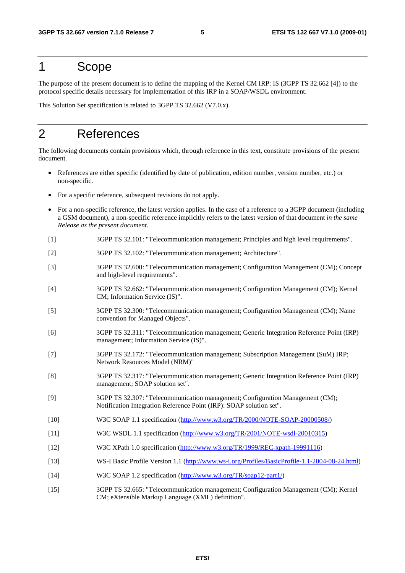### 1 Scope

The purpose of the present document is to define the mapping of the Kernel CM IRP: IS (3GPP TS 32.662 [4]) to the protocol specific details necessary for implementation of this IRP in a SOAP/WSDL environment.

This Solution Set specification is related to 3GPP TS 32.662 (V7.0.x).

# 2 References

The following documents contain provisions which, through reference in this text, constitute provisions of the present document.

- References are either specific (identified by date of publication, edition number, version number, etc.) or non-specific.
- For a specific reference, subsequent revisions do not apply.
- For a non-specific reference, the latest version applies. In the case of a reference to a 3GPP document (including a GSM document), a non-specific reference implicitly refers to the latest version of that document *in the same Release as the present document*.
- [1] 3GPP TS 32.101: "Telecommunication management; Principles and high level requirements".
- [2] 3GPP TS 32.102: "Telecommunication management; Architecture".
- [3] 3GPP TS 32.600: "Telecommunication management; Configuration Management (CM); Concept and high-level requirements".
- [4] 3GPP TS 32.662: "Telecommunication management; Configuration Management (CM); Kernel CM; Information Service (IS)".
- [5] 3GPP TS 32.300: "Telecommunication management; Configuration Management (CM); Name convention for Managed Objects".
- [6] 3GPP TS 32.311: "Telecommunication management; Generic Integration Reference Point (IRP) management; Information Service (IS)".
- [7] 3GPP TS 32.172: "Telecommunication management; Subscription Management (SuM) IRP; Network Resources Model (NRM)"
- [8] 3GPP TS 32.317: "Telecommunication management; Generic Integration Reference Point (IRP) management; SOAP solution set".
- [9] 3GPP TS 32.307: "Telecommunication management; Configuration Management (CM); Notification Integration Reference Point (IRP): SOAP solution set".
- [10] W3C SOAP 1.1 specification [\(http://www.w3.org/TR/2000/NOTE-SOAP-20000508/](http://www.w3.org/TR/2000/NOTE-SOAP-20000508/))
- [11] W3C WSDL 1.1 specification [\(http://www.w3.org/TR/2001/NOTE-wsdl-20010315](http://www.w3.org/TR/wsdl))
- [12] W3C XPath 1.0 specification [\(http://www.w3.org/TR/1999/REC-xpath-19991116\)](http://www.w3.org/TR/xpath)
- [13] WS-I Basic Profile Version 1.1 [\(http://www.ws-i.org/Profiles/BasicProfile-1.1-2004-08-24.html](http://www.ws-i.org/Profiles/BasicProfile-1.1-2004-08-24.html))
- [14] W3C SOAP 1.2 specification [\(http://www.w3.org/TR/soap12-part1/\)](http://www.w3.org/TR/soap12-part1/)
- [15] 3GPP TS 32.665: "Telecommunication management; Configuration Management (CM); Kernel CM; eXtensible Markup Language (XML) definition".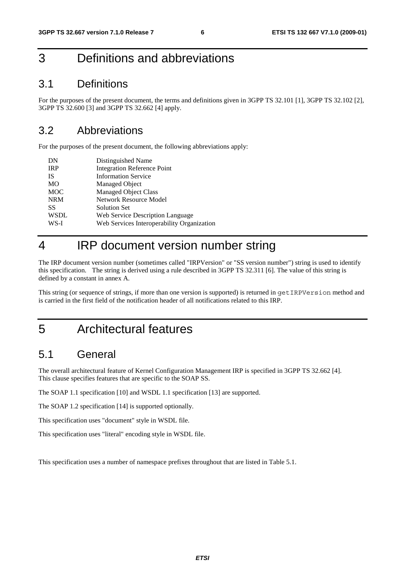# 3 Definitions and abbreviations

### 3.1 Definitions

For the purposes of the present document, the terms and definitions given in 3GPP TS 32.101 [1], 3GPP TS 32.102 [2], 3GPP TS 32.600 [3] and 3GPP TS 32.662 [4] apply.

### 3.2 Abbreviations

For the purposes of the present document, the following abbreviations apply:

| DN          | Distinguished Name                         |
|-------------|--------------------------------------------|
| <b>IRP</b>  | <b>Integration Reference Point</b>         |
| <b>IS</b>   | <b>Information Service</b>                 |
| MO          | Managed Object                             |
| <b>MOC</b>  | <b>Managed Object Class</b>                |
| <b>NRM</b>  | Network Resource Model                     |
| SS          | <b>Solution Set</b>                        |
| <b>WSDL</b> | Web Service Description Language           |
| WS-I        | Web Services Interoperability Organization |
|             |                                            |

## 4 IRP document version number string

The IRP document version number (sometimes called "IRPVersion" or "SS version number") string is used to identify this specification. The string is derived using a rule described in 3GPP TS 32.311 [6]. The value of this string is defined by a constant in annex A.

This string (or sequence of strings, if more than one version is supported) is returned in getIRPVersion method and is carried in the first field of the notification header of all notifications related to this IRP.

5 Architectural features

### 5.1 General

The overall architectural feature of Kernel Configuration Management IRP is specified in 3GPP TS 32.662 [4]. This clause specifies features that are specific to the SOAP SS.

The SOAP 1.1 specification [10] and WSDL 1.1 specification [13] are supported.

The SOAP 1.2 specification [14] is supported optionally.

This specification uses "document" style in WSDL file.

This specification uses "literal" encoding style in WSDL file.

This specification uses a number of namespace prefixes throughout that are listed in Table 5.1.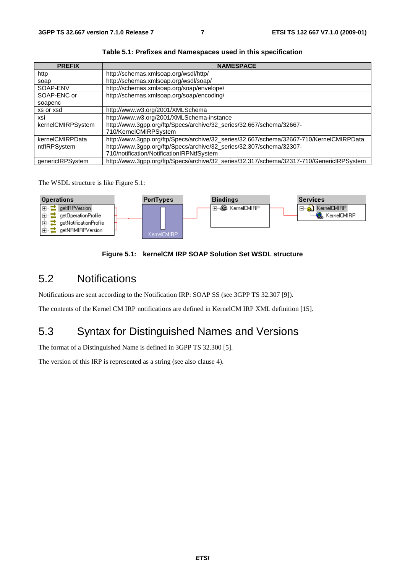| <b>PREFIX</b>     | <b>NAMESPACE</b>                                                                         |
|-------------------|------------------------------------------------------------------------------------------|
| http              | http://schemas.xmlsoap.org/wsdl/http/                                                    |
| soap              | http://schemas.xmlsoap.org/wsdl/soap/                                                    |
| SOAP-ENV          | http://schemas.xmlsoap.org/soap/envelope/                                                |
| SOAP-ENC or       | http://schemas.xmlsoap.org/soap/encoding/                                                |
| soapenc           |                                                                                          |
| xs or xsd         | http://www.w3.org/2001/XMLSchema                                                         |
| xsi               | http://www.w3.org/2001/XMLSchema-instance                                                |
| kernelCMIRPSystem | http://www.3gpp.org/ftp/Specs/archive/32_series/32.667/schema/32667-                     |
|                   | 710/KernelCMIRPSystem                                                                    |
| kernelCMIRPData   | http://www.3gpp.org/ftp/Specs/archive/32_series/32.667/schema/32667-710/KernelCMIRPData  |
| ntflRPSystem      | http://www.3gpp.org/ftp/Specs/archive/32_series/32.307/schema/32307-                     |
|                   | 710/notification/NotificationIRPNtfSystem                                                |
| genericIRPSystem  | http://www.3gpp.org/ftp/Specs/archive/32_series/32.317/schema/32317-710/GenericlRPSystem |

**Table 5.1: Prefixes and Namespaces used in this specification**

The WSDL structure is like Figure 5.1:



#### **Figure 5.1: kernelCM IRP SOAP Solution Set WSDL structure**

### 5.2 Notifications

Notifications are sent according to the Notification IRP: SOAP SS (see 3GPP TS 32.307 [9]).

The contents of the Kernel CM IRP notifications are defined in KernelCM IRP XML definition [15].

# 5.3 Syntax for Distinguished Names and Versions

The format of a Distinguished Name is defined in 3GPP TS 32.300 [5].

The version of this IRP is represented as a string (see also clause 4).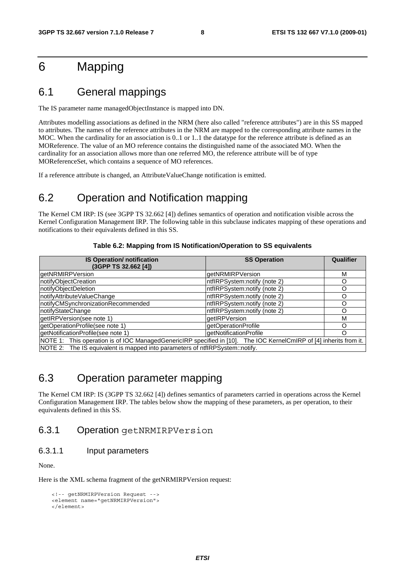# 6 Mapping

### 6.1 General mappings

The IS parameter name managedObjectInstance is mapped into DN.

Attributes modelling associations as defined in the NRM (here also called "reference attributes") are in this SS mapped to attributes. The names of the reference attributes in the NRM are mapped to the corresponding attribute names in the MOC. When the cardinality for an association is 0..1 or 1..1 the datatype for the reference attribute is defined as an MOReference. The value of an MO reference contains the distinguished name of the associated MO. When the cardinality for an association allows more than one referred MO, the reference attribute will be of type MOReferenceSet, which contains a sequence of MO references.

If a reference attribute is changed, an AttributeValueChange notification is emitted.

### 6.2 Operation and Notification mapping

The Kernel CM IRP: IS (see 3GPP TS 32.662 [4]) defines semantics of operation and notification visible across the Kernel Configuration Management IRP. The following table in this subclause indicates mapping of these operations and notifications to their equivalents defined in this SS.

| <b>IS Operation/ notification</b><br>(3GPP TS 32.662 [4])                                                          | <b>SS Operation</b>           | Qualifier |  |  |
|--------------------------------------------------------------------------------------------------------------------|-------------------------------|-----------|--|--|
| getNRMIRPVersion                                                                                                   | getNRMIRPVersion              | м         |  |  |
| notifyObjectCreation                                                                                               | ntflRPSystem:notify (note 2)  |           |  |  |
| notifyObjectDeletion                                                                                               | IntflRPSystem:notify (note 2) | റ         |  |  |
| notifyAttributeValueChange                                                                                         | ntflRPSystem:notify (note 2)  | O         |  |  |
| notifyCMSynchronizationRecommended                                                                                 | IntflRPSystem:notify (note 2) | ∩         |  |  |
| notifyStateChange                                                                                                  | ntflRPSystem:notify (note 2)  | ∩         |  |  |
| getIRPVersion(see note 1)                                                                                          | <b>getIRPVersion</b>          | м         |  |  |
| getOperationProfile(see note 1)                                                                                    | getOperationProfile           | ∩         |  |  |
| getNotificationProfile(see note 1)                                                                                 | getNotificationProfile        | ∩         |  |  |
| NOTE 1: This operation is of IOC ManagedGenericIRP specified in [10]. The IOC KernelCmIRP of [4] inherits from it. |                               |           |  |  |
| NOTE 2: The IS equivalent is mapped into parameters of ntflRPSystem::notify.                                       |                               |           |  |  |

### 6.3 Operation parameter mapping

The Kernel CM IRP: IS (3GPP TS 32.662 [4]) defines semantics of parameters carried in operations across the Kernel Configuration Management IRP. The tables below show the mapping of these parameters, as per operation, to their equivalents defined in this SS.

#### 6.3.1 Operation getNRMIRPVersion

#### 6.3.1.1 Input parameters

None.

Here is the XML schema fragment of the getNRMIRPVersion request:

```
<!-- getNRMIRPVersion Request --> 
<element name="getNRMIRPVersion"> 
</element>
```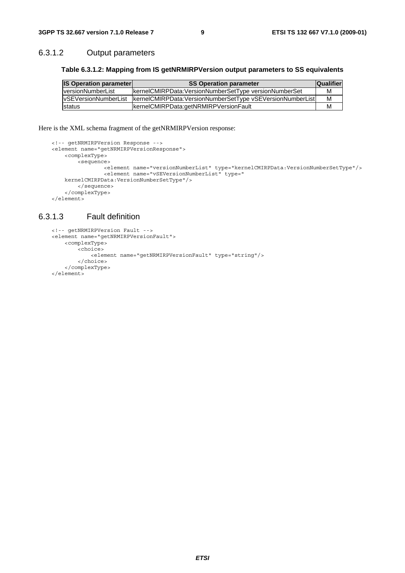#### 6.3.1.2 Output parameters

#### **Table 6.3.1.2: Mapping from IS getNRMIRPVersion output parameters to SS equivalents**

| <b>IS Operation parameter</b> | <b>SS Operation parameter</b>                             | <b>Qualifier</b> |
|-------------------------------|-----------------------------------------------------------|------------------|
| <b>IversionNumberList</b>     | kernelCMIRPData:VersionNumberSetType versionNumberSet     | м                |
| <b>IvSEVersionNumberList</b>  | kernelCMIRPData:VersionNumberSetType vSEVersionNumberList | M                |
| <b>Istatus</b>                | kernelCMIRPData:getNRMIRPVersionFault                     | м                |

#### Here is the XML schema fragment of the getNRMIRPVersion response:

```
<!-- getNRMIRPVersion Response --> 
<element name="getNRMIRPVersionResponse"> 
     <complexType> 
         <sequence> 
                <element name="versionNumberList" type="kernelCMIRPData:VersionNumberSetType"/> 
                <element name="vSEVersionNumberList" type=" 
   kernelCMIRPData:VersionNumberSetType"/> 
        </sequence> 
     </complexType> 
</element>
```
#### 6.3.1.3 Fault definition

```
<!-- getNRMIRPVersion Fault --> 
<element name="getNRMIRPVersionFault"> 
     <complexType> 
         <choice> 
             <element name="getNRMIRPVersionFault" type="string"/> 
         </choice> 
     </complexType> 
</element>
```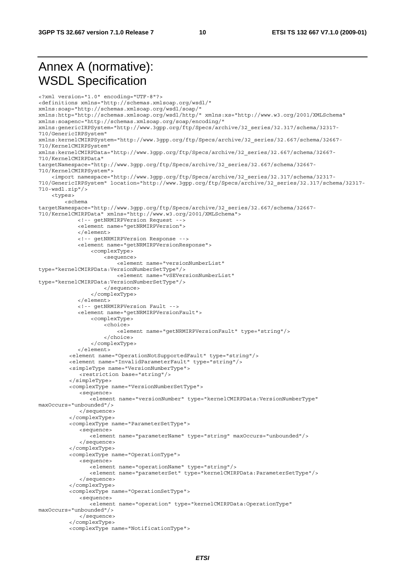# Annex A (normative): WSDL Specification

<?xml version="1.0" encoding="UTF-8"?> <definitions xmlns="http://schemas.xmlsoap.org/wsdl/" xmlns:soap="http://schemas.xmlsoap.org/wsdl/soap/" xmlns:http="http://schemas.xmlsoap.org/wsdl/http/" xmlns:xs="http://www.w3.org/2001/XMLSchema" xmlns:soapenc="http://schemas.xmlsoap.org/soap/encoding/" xmlns:genericIRPSystem="http://www.3gpp.org/ftp/Specs/archive/32\_series/32.317/schema/32317- 710/GenericIRPSystem" xmlns:kernelCMIRPSystem="http://www.3gpp.org/ftp/Specs/archive/32\_series/32.667/schema/32667- 710/KernelCMIRPSystem" xmlns:kernelCMIRPData="http://www.3gpp.org/ftp/Specs/archive/32\_series/32.667/schema/32667- 710/KernelCMIRPData" targetNamespace="http://www.3gpp.org/ftp/Specs/archive/32\_series/32.667/schema/32667- 710/KernelCMIRPSystem"> <import namespace="http://www.3gpp.org/ftp/Specs/archive/32\_series/32.317/schema/32317- 710/GenericIRPSystem" location="http://www.3gpp.org/ftp/Specs/archive/32\_series/32.317/schema/32317- 710-wsdl.zip"/> <types>  $\geq$ c $\cap$ hema targetNamespace="http://www.3gpp.org/ftp/Specs/archive/32\_series/32.667/schema/32667- 710/KernelCMIRPData" xmlns="http://www.w3.org/2001/XMLSchema"> <!-- getNRMIRPVersion Request --> <element name="getNRMIRPVersion"> </element> <!-- getNRMIRPVersion Response --> <element name="getNRMIRPVersionResponse"> <complexType> <sequence> .<br><element name="versionNumberList" type="kernelCMIRPData:VersionNumberSetType"/> <element name="vSEVersionNumberList" type="kernelCMIRPData:VersionNumberSetType"/> </sequence> </complexType> </element> <!-- getNRMIRPVersion Fault --> <element name="getNRMIRPVersionFault"> <complexType> <choice> <element name="getNRMIRPVersionFault" type="string"/> </choice> </complexType> </element> <element name="OperationNotSupportedFault" type="string"/> <element name="InvalidParameterFault" type="string"/> <simpleType name="VersionNumberType"> <restriction base="string"/> </simpleType> <complexType name="VersionNumberSetType"> <sequence> <element name="versionNumber" type="kernelCMIRPData:VersionNumberType" maxOccurs="unbounded"/> </sequence> </complexType> <complexType name="ParameterSetType"> <sequence> <element name="parameterName" type="string" maxOccurs="unbounded"/> </sequence> </complexType> <complexType name="OperationType"> <sequence> <element name="operationName" type="string"/> <element name="parameterSet" type="kernelCMIRPData:ParameterSetType"/> </sequence> </complexType> <complexType name="OperationSetType"> <sequence> <element name="operation" type="kernelCMIRPData:OperationType" maxOccurs="unbounded"/> </sequence> </complexType> <complexType name="NotificationType">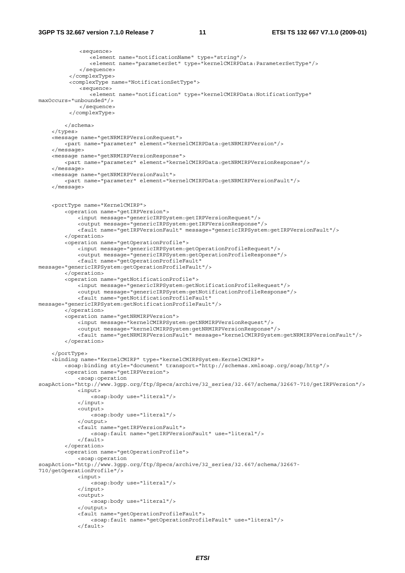<sequence> <element name="notificationName" type="string"/> <element name="parameterSet" type="kernelCMIRPData:ParameterSetType"/> </sequence> </complexType> <complexType name="NotificationSetType"> <sequence> <element name="notification" type="kernelCMIRPData:NotificationType" maxOccurs="unbounded"/> </sequence> </complexType> </schema> </types> <message name="getNRMIRPVersionRequest"> <part name="parameter" element="kernelCMIRPData:getNRMIRPVersion"/> </message> <message name="getNRMIRPVersionResponse"> <part name="parameter" element="kernelCMIRPData:getNRMIRPVersionResponse"/> </message> <message name="getNRMIRPVersionFault"> <part name="parameter" element="kernelCMIRPData:getNRMIRPVersionFault"/> </message> <portType name="KernelCMIRP"> <operation name="getIRPVersion"> <input message="genericIRPSystem:getIRPVersionRequest"/> <output message="genericIRPSystem:getIRPVersionResponse"/> <fault name="getIRPVersionFault" message="genericIRPSystem:getIRPVersionFault"/> </operation> <operation name="getOperationProfile"> <input message="genericIRPSystem:getOperationProfileRequest"/> <output message="genericIRPSystem:getOperationProfileResponse"/> <fault name="getOperationProfileFault" message="genericIRPSystem:getOperationProfileFault"/> </operation> <operation name="getNotificationProfile"> <input message="genericIRPSystem:getNotificationProfileRequest"/> <output message="genericIRPSystem:getNotificationProfileResponse"/> <fault name="getNotificationProfileFault" message="genericIRPSystem:getNotificationProfileFault"/> </operation> <operation name="getNRMIRPVersion"> <input message="kernelCMIRPSystem:getNRMIRPVersionRequest"/> <output message="kernelCMIRPSystem:getNRMIRPVersionResponse"/> <fault name="getNRMIRPVersionFault" message="kernelCMIRPSystem:getNRMIRPVersionFault"/> </operation> </portType> <binding name="KernelCMIRP" type="kernelCMIRPSystem:KernelCMIRP"> <soap:binding style="document" transport="http://schemas.xmlsoap.org/soap/http"/> <operation name="getIRPVersion"> <soap:operation soapAction="http://www.3gpp.org/ftp/Specs/archive/32\_series/32.667/schema/32667-710/getIRPVersion"/> <input> <soap:body use="literal"/> </input> <output> <soap:body use="literal"/> </output> <fault name="getIRPVersionFault"> <soap:fault name="getIRPVersionFault" use="literal"/> </fault> </operation> <operation name="getOperationProfile"> <soap:operation soapAction="http://www.3gpp.org/ftp/Specs/archive/32\_series/32.667/schema/32667- 710/getOperationProfile"/> <input> <soap:body use="literal"/> </input> <output> <soap:body use="literal"/> </output> <fault name="getOperationProfileFault"> <soap:fault name="getOperationProfileFault" use="literal"/> </fault>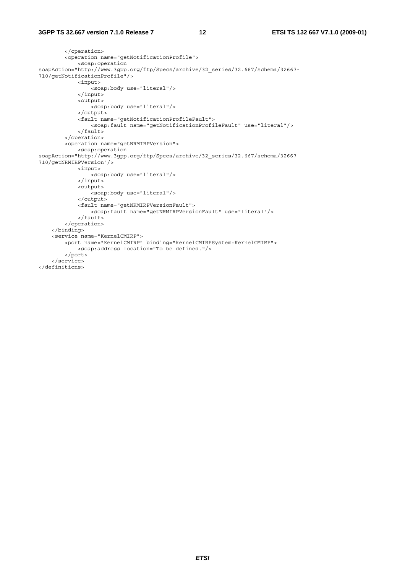```
 </operation> 
         <operation name="getNotificationProfile"> 
             <soap:operation 
soapAction="http://www.3gpp.org/ftp/Specs/archive/32_series/32.667/schema/32667-
710/getNotificationProfile"/> 
             <input> 
                  <soap:body use="literal"/> 
              </input> 
              <output> 
                  <soap:body use="literal"/> 
              </output> 
              <fault name="getNotificationProfileFault"> 
                  <soap:fault name="getNotificationProfileFault" use="literal"/> 
              </fault> 
         </operation> 
         <operation name="getNRMIRPVersion"> 
              <soap:operation 
soapAction="http://www.3gpp.org/ftp/Specs/archive/32_series/32.667/schema/32667-
710/getNRMIRPVersion"/> 
             <input> 
                .<br><soap:body use="literal"/>
              </input> 
              <output> 
                 <soap:body use="literal"/> 
              </output> 
              <fault name="getNRMIRPVersionFault"> 
                  <soap:fault name="getNRMIRPVersionFault" use="literal"/> 
             </fault> 
         </operation> 
     </binding> 
     <service name="KernelCMIRP"> 
         <port name="KernelCMIRP" binding="kernelCMIRPSystem:KernelCMIRP"> 
             <soap:address location="To be defined."/> 
         </port> 
     </service> 
</definitions>
```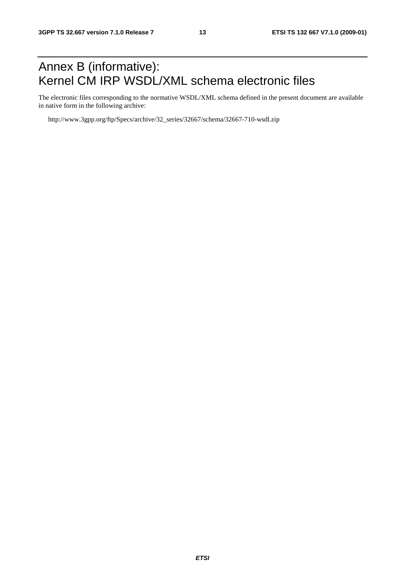# Annex B (informative): Kernel CM IRP WSDL/XML schema electronic files

The electronic files corresponding to the normative WSDL/XML schema defined in the present document are available in native form in the following archive:

http://www.3gpp.org/ftp/Specs/archive/32\_series/32667/schema/32667-710-wsdl.zip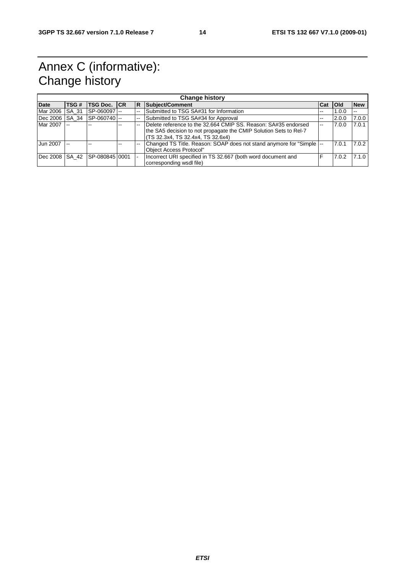# Annex C (informative): Change history

| <b>Change history</b> |              |                     |  |     |                                                                                                                                                                         |     |            |            |
|-----------------------|--------------|---------------------|--|-----|-------------------------------------------------------------------------------------------------------------------------------------------------------------------------|-----|------------|------------|
| <b>Date</b>           | TSG#         | <b>TSG Doc. ICR</b> |  | IR. | Subject/Comment                                                                                                                                                         | Cat | <b>Old</b> | <b>New</b> |
| Mar 2006              | <b>SA 31</b> | SP-060097 --        |  |     | Submitted to TSG SA#31 for Information                                                                                                                                  | --  | 1.0.0      |            |
| Dec 2006 SA 34        |              | SP-060740           |  |     | Submitted to TSG SA#34 for Approval                                                                                                                                     | --  | 2.0.0      | 7.0.0      |
| Mar 2007 --           |              |                     |  |     | Delete reference to the 32.664 CMIP SS, Reason: SA#35 endorsed<br>the SA5 decision to not propagate the CMIP Solution Sets to Rel-7<br>TS 32.3x4, TS 32.4x4, TS 32.6x4) | $-$ | 7.0.0      | 7.0.1      |
| Jun 2007              | $-$          |                     |  |     | Changed TS Title. Reason: SOAP does not stand anymore for "Simple  --<br>Obiect Access Protocol"                                                                        |     | 7.0.1      | 7.0.2      |
| Dec 2008 SA 42        |              | SP-08084510001      |  |     | Incorrect URI specified in TS 32.667 (both word document and<br>corresponding wsdl file)                                                                                |     | 7.0.2      | 7.1.0      |